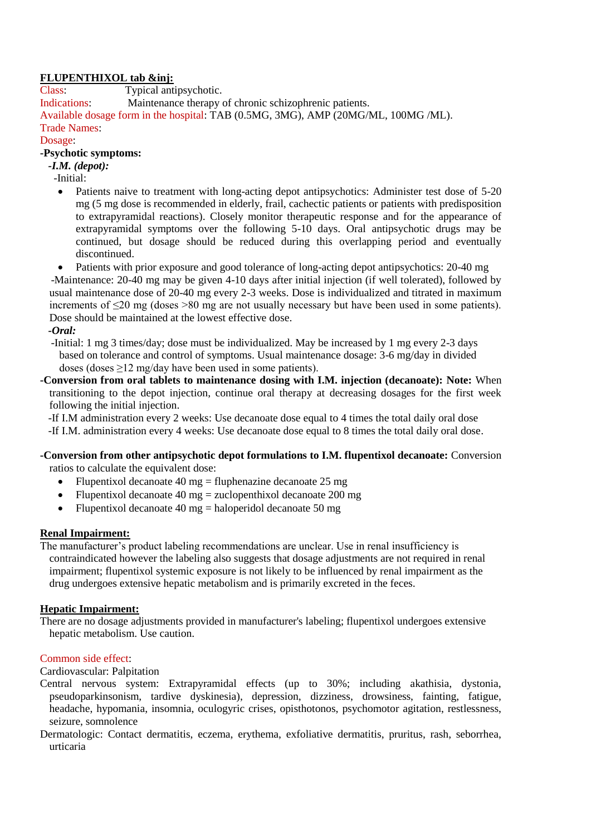# **FLUPENTHIXOL tab &inj:**

Class: Typical antipsychotic.

Indications: Maintenance therapy of chronic schizophrenic patients.

Available dosage form in the hospital: TAB (0.5MG, 3MG), AMP (20MG/ML, 100MG /ML). Trade Names:

## Dosage:

## **-Psychotic symptoms:**

 *-I.M. (depot):*

-Initial:

• Patients naive to treatment with long-acting depot antipsychotics: Administer test dose of 5-20 mg (5 mg dose is recommended in elderly, frail, cachectic patients or patients with predisposition to extrapyramidal reactions). Closely monitor therapeutic response and for the appearance of extrapyramidal symptoms over the following 5-10 days. Oral antipsychotic drugs may be continued, but dosage should be reduced during this overlapping period and eventually discontinued.

 Patients with prior exposure and good tolerance of long-acting depot antipsychotics: 20-40 mg -Maintenance: 20-40 mg may be given 4-10 days after initial injection (if well tolerated), followed by usual maintenance dose of 20-40 mg every 2-3 weeks. Dose is individualized and titrated in maximum increments of ≤20 mg (doses >80 mg are not usually necessary but have been used in some patients). Dose should be maintained at the lowest effective dose.

## *-Oral:*

 -Initial: 1 mg 3 times/day; dose must be individualized. May be increased by 1 mg every 2-3 days based on tolerance and control of symptoms. Usual maintenance dosage: 3-6 mg/day in divided doses (doses ≥12 mg/day have been used in some patients).

**-Conversion from oral tablets to maintenance dosing with I.M. injection (decanoate): Note:** When transitioning to the depot injection, continue oral therapy at decreasing dosages for the first week following the initial injection.

 -If I.M administration every 2 weeks: Use decanoate dose equal to 4 times the total daily oral dose -If I.M. administration every 4 weeks: Use decanoate dose equal to 8 times the total daily oral dose.

## **-Conversion from other antipsychotic depot formulations to I.M. flupentixol decanoate:** Conversion ratios to calculate the equivalent dose:

- Flupentixol decanoate 40 mg = fluphenazine decanoate 25 mg
- Flupentixol decanoate 40 mg = zuclopenthixol decanoate 200 mg
- Flupentixol decanoate 40 mg = haloperidol decanoate 50 mg

### **Renal Impairment:**

The manufacturer's product labeling recommendations are unclear. Use in renal insufficiency is contraindicated however the labeling also suggests that dosage adjustments are not required in renal impairment; flupentixol systemic exposure is not likely to be influenced by renal impairment as the drug undergoes extensive hepatic metabolism and is primarily excreted in the feces.

### **Hepatic Impairment:**

There are no dosage adjustments provided in manufacturer's labeling; flupentixol undergoes extensive hepatic metabolism. Use caution.

### Common side effect:

### Cardiovascular: Palpitation

- Central nervous system: Extrapyramidal effects (up to 30%; including akathisia, dystonia, pseudoparkinsonism, tardive dyskinesia), depression, dizziness, drowsiness, fainting, fatigue, headache, hypomania, insomnia, oculogyric crises, opisthotonos, psychomotor agitation, restlessness, seizure, somnolence
- Dermatologic: Contact dermatitis, eczema, erythema, exfoliative dermatitis, pruritus, rash, seborrhea, urticaria